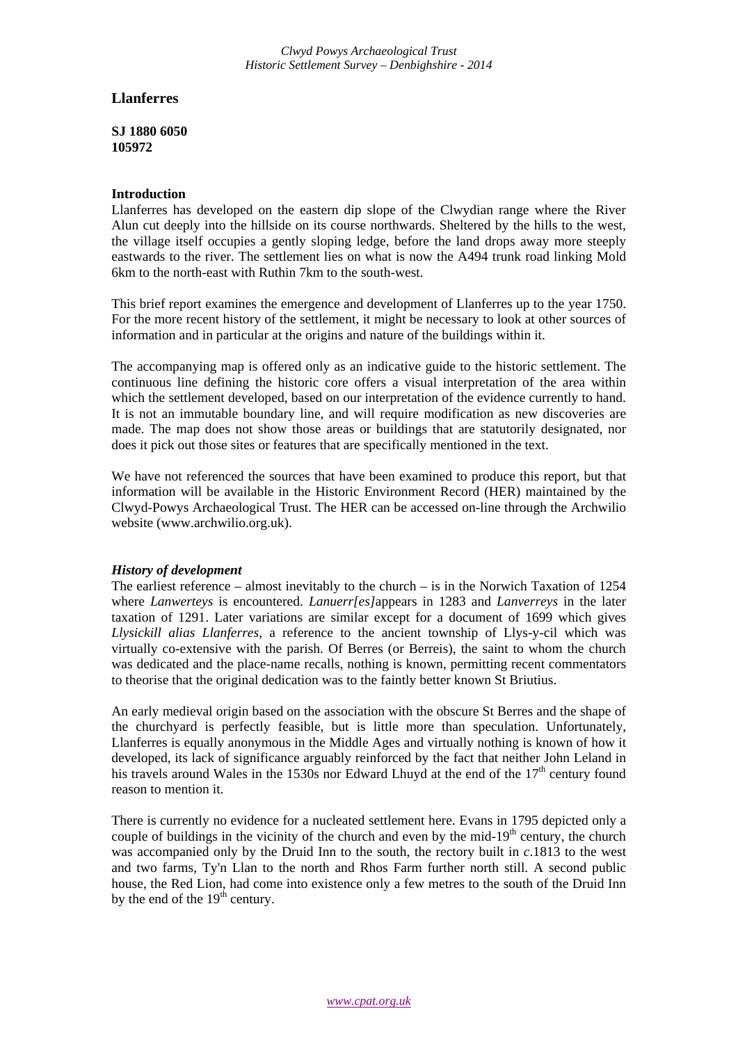*Clwyd Powys Archaeological Trust Historic Settlement Survey – Denbighshire - 2014*

## **Llanferres**

**SJ 1880 6050 105972**

## **Introduction**

Llanferres has developed on the eastern dip slope of the Clwydian range where the River Alun cut deeply into the hillside on its course northwards. Sheltered by the hills to the west, the village itself occupies a gently sloping ledge, before the land drops away more steeply eastwards to the river. The settlement lies on what is now the A494 trunk road linking Mold 6km to the north-east with Ruthin 7km to the south-west.

This brief report examines the emergence and development of Llanferres up to the year 1750. For the more recent history of the settlement, it might be necessary to look at other sources of information and in particular at the origins and nature of the buildings within it.

The accompanying map is offered only as an indicative guide to the historic settlement. The continuous line defining the historic core offers a visual interpretation of the area within which the settlement developed, based on our interpretation of the evidence currently to hand. It is not an immutable boundary line, and will require modification as new discoveries are made. The map does not show those areas or buildings that are statutorily designated, nor does it pick out those sites or features that are specifically mentioned in the text.

We have not referenced the sources that have been examined to produce this report, but that information will be available in the Historic Environment Record (HER) maintained by the Clwyd-Powys Archaeological Trust. The HER can be accessed on-line through the Archwilio website (www.archwilio.org.uk).

## *History of development*

The earliest reference – almost inevitably to the church – is in the Norwich Taxation of 1254 where *Lanwerteys* is encountered. *Lanuerr[es]*appears in 1283 and *Lanverreys* in the later taxation of 1291. Later variations are similar except for a document of 1699 which gives *Llysickill alias Llanferres*, a reference to the ancient township of Llys-y-cil which was virtually co-extensive with the parish. Of Berres (or Berreis), the saint to whom the church was dedicated and the place-name recalls, nothing is known, permitting recent commentators to theorise that the original dedication was to the faintly better known St Briutius.

An early medieval origin based on the association with the obscure St Berres and the shape of the churchyard is perfectly feasible, but is little more than speculation. Unfortunately, Llanferres is equally anonymous in the Middle Ages and virtually nothing is known of how it developed, its lack of significance arguably reinforced by the fact that neither John Leland in his travels around Wales in the 1530s nor Edward Lhuyd at the end of the  $17<sup>th</sup>$  century found reason to mention it.

There is currently no evidence for a nucleated settlement here. Evans in 1795 depicted only a couple of buildings in the vicinity of the church and even by the mid- $19<sup>th</sup>$  century, the church was accompanied only by the Druid Inn to the south, the rectory built in *c*.1813 to the west and two farms, Ty'n Llan to the north and Rhos Farm further north still. A second public house, the Red Lion, had come into existence only a few metres to the south of the Druid Inn by the end of the  $19<sup>th</sup>$  century.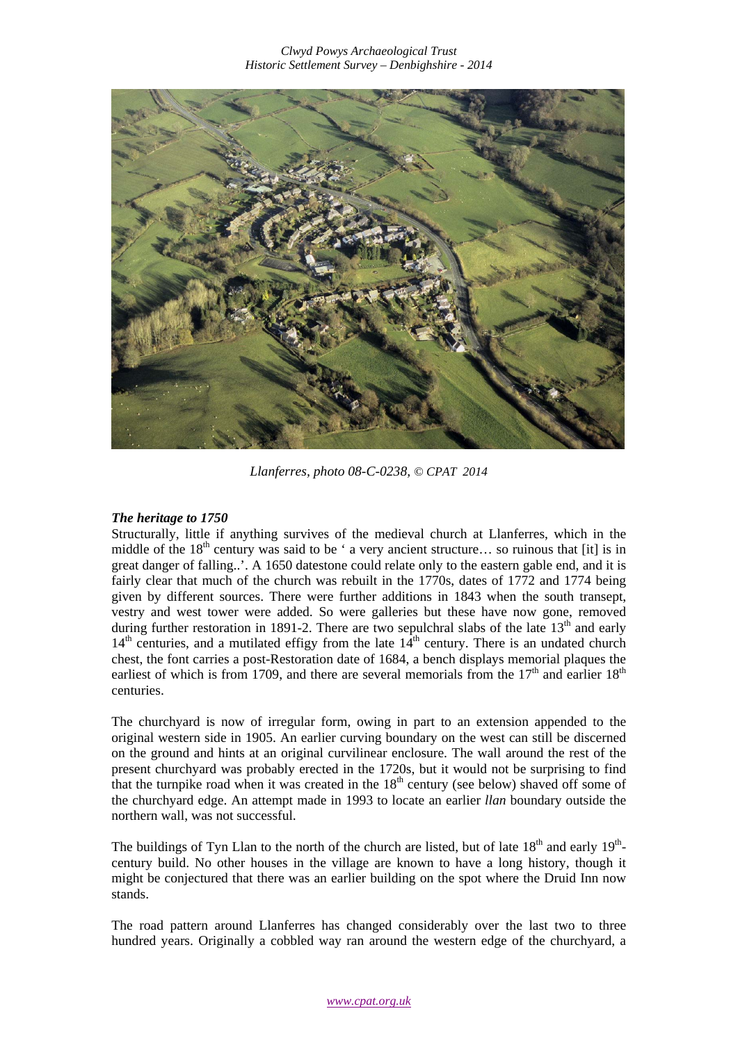

*Llanferres, photo 08-C-0238, © CPAT 2014*

## *The heritage to 1750*

Structurally, little if anything survives of the medieval church at Llanferres, which in the middle of the  $18<sup>th</sup>$  century was said to be ' a very ancient structure... so ruinous that [it] is in great danger of falling..'. A 1650 datestone could relate only to the eastern gable end, and it is fairly clear that much of the church was rebuilt in the 1770s, dates of 1772 and 1774 being given by different sources. There were further additions in 1843 when the south transept, vestry and west tower were added. So were galleries but these have now gone, removed during further restoration in 1891-2. There are two sepulchral slabs of the late  $13<sup>th</sup>$  and early  $14<sup>th</sup>$  centuries, and a mutilated effigy from the late  $14<sup>th</sup>$  century. There is an undated church chest, the font carries a post-Restoration date of 1684, a bench displays memorial plaques the earliest of which is from 1709, and there are several memorials from the  $17<sup>th</sup>$  and earlier  $18<sup>th</sup>$ centuries.

The churchyard is now of irregular form, owing in part to an extension appended to the original western side in 1905. An earlier curving boundary on the west can still be discerned on the ground and hints at an original curvilinear enclosure. The wall around the rest of the present churchyard was probably erected in the 1720s, but it would not be surprising to find that the turnpike road when it was created in the  $18<sup>th</sup>$  century (see below) shaved off some of the churchyard edge. An attempt made in 1993 to locate an earlier *llan* boundary outside the northern wall, was not successful.

The buildings of Tyn Llan to the north of the church are listed, but of late  $18<sup>th</sup>$  and early  $19<sup>th</sup>$ century build. No other houses in the village are known to have a long history, though it might be conjectured that there was an earlier building on the spot where the Druid Inn now stands.

The road pattern around Llanferres has changed considerably over the last two to three hundred years. Originally a cobbled way ran around the western edge of the churchyard, a